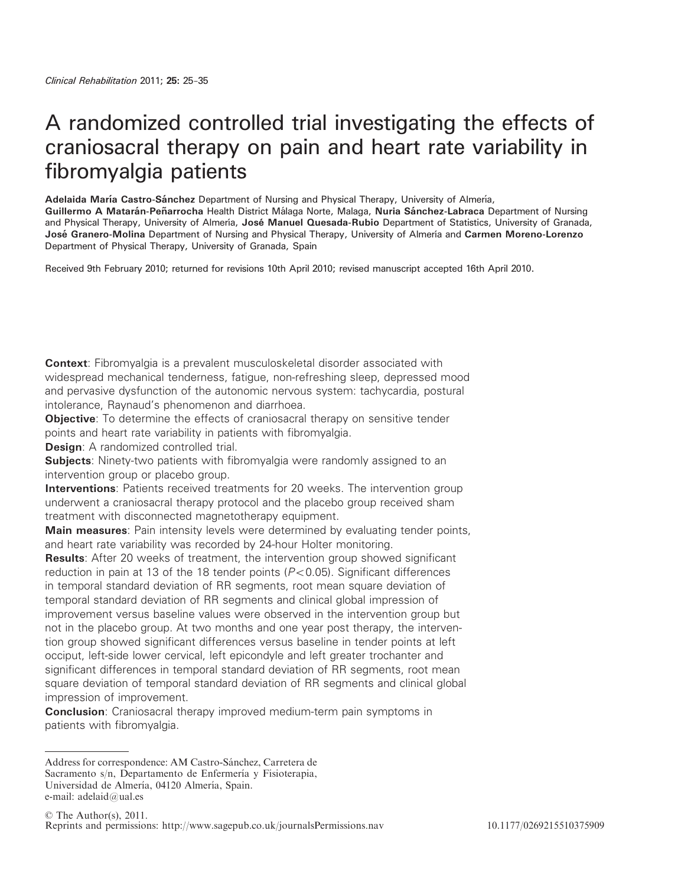# A randomized controlled trial investigating the effects of craniosacral therapy on pain and heart rate variability in fibromyalgia patients

Adelaida María Castro-Sánchez Department of Nursing and Physical Therapy, University of Almería,

Guillermo A Matarán-Peñarrocha Health District Málaga Norte, Malaga, Nuria Sánchez-Labraca Department of Nursing and Physical Therapy, University of Almería, José Manuel Quesada-Rubio Department of Statistics, University of Granada, José Granero-Molina Department of Nursing and Physical Therapy, University of Almería and Carmen Moreno-Lorenzo Department of Physical Therapy, University of Granada, Spain

Received 9th February 2010; returned for revisions 10th April 2010; revised manuscript accepted 16th April 2010.

**Context:** Fibromyalgia is a prevalent musculoskeletal disorder associated with widespread mechanical tenderness, fatigue, non-refreshing sleep, depressed mood and pervasive dysfunction of the autonomic nervous system: tachycardia, postural intolerance, Raynaud's phenomenon and diarrhoea.

**Objective:** To determine the effects of craniosacral therapy on sensitive tender points and heart rate variability in patients with fibromyalgia.

**Design:** A randomized controlled trial.

**Subjects:** Ninety-two patients with fibromyalgia were randomly assigned to an intervention group or placebo group.

**Interventions**: Patients received treatments for 20 weeks. The intervention group underwent a craniosacral therapy protocol and the placebo group received sham treatment with disconnected magnetotherapy equipment.

**Main measures:** Pain intensity levels were determined by evaluating tender points, and heart rate variability was recorded by 24-hour Holter monitoring.

Results: After 20 weeks of treatment, the intervention group showed significant reduction in pain at 13 of the 18 tender points ( $P<0.05$ ). Significant differences in temporal standard deviation of RR segments, root mean square deviation of temporal standard deviation of RR segments and clinical global impression of improvement versus baseline values were observed in the intervention group but not in the placebo group. At two months and one year post therapy, the intervention group showed significant differences versus baseline in tender points at left occiput, left-side lower cervical, left epicondyle and left greater trochanter and significant differences in temporal standard deviation of RR segments, root mean square deviation of temporal standard deviation of RR segments and clinical global impression of improvement.

**Conclusion:** Craniosacral therapy improved medium-term pain symptoms in patients with fibromyalgia.

Address for correspondence: AM Castro-Sánchez, Carretera de Sacramento s/n. Departamento de Enfermería y Fisioterapia, Universidad de Almería, 04120 Almería, Spain. e-mail: adelaid@ual.es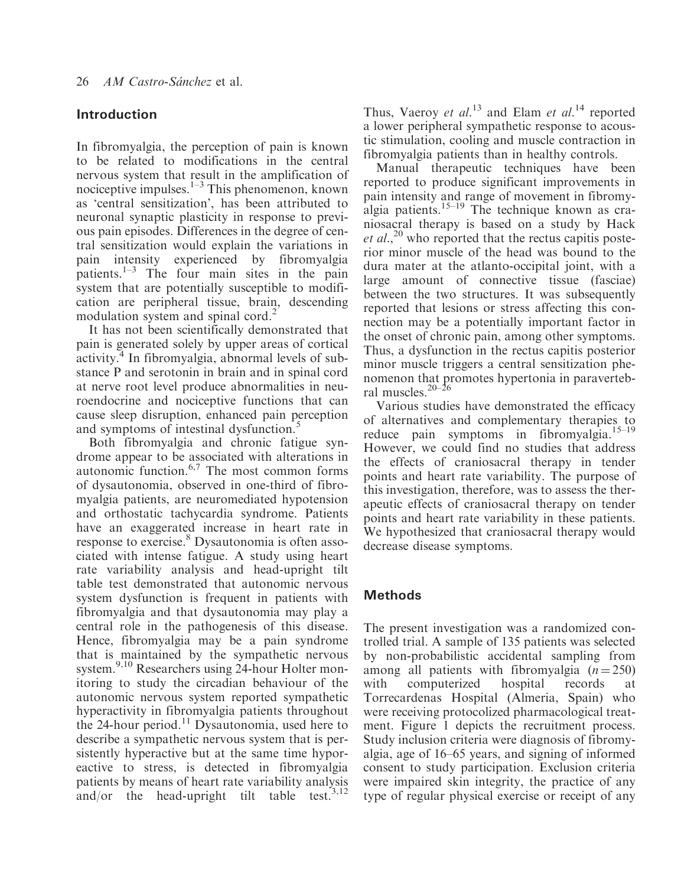## Introduction

In fibromyalgia, the perception of pain is known to be related to modifications in the central nervous system that result in the amplification of nociceptive impulses. $1-3$  This phenomenon, known as 'central sensitization', has been attributed to neuronal synaptic plasticity in response to previous pain episodes. Differences in the degree of central sensitization would explain the variations in pain intensity experienced by fibromyalgia patients. $1-3$  The four main sites in the pain system that are potentially susceptible to modification are peripheral tissue, brain, descending modulation system and spinal cord.<sup>2</sup>

It has not been scientifically demonstrated that pain is generated solely by upper areas of cortical activity.<sup>4</sup> In fibromyalgia, abnormal levels of substance P and serotonin in brain and in spinal cord at nerve root level produce abnormalities in neuroendocrine and nociceptive functions that can cause sleep disruption, enhanced pain perception and symptoms of intestinal dysfunction.<sup>5</sup>

Both fibromyalgia and chronic fatigue syndrome appear to be associated with alterations in autonomic function. $6,7$  The most common forms of dysautonomia, observed in one-third of fibromyalgia patients, are neuromediated hypotension and orthostatic tachycardia syndrome. Patients have an exaggerated increase in heart rate in response to exercise.<sup>8</sup> Dysautonomia is often associated with intense fatigue. A study using heart rate variability analysis and head-upright tilt table test demonstrated that autonomic nervous system dysfunction is frequent in patients with fibromyalgia and that dysautonomia may play a central role in the pathogenesis of this disease. Hence, fibromyalgia may be a pain syndrome that is maintained by the sympathetic nervous system.<sup>9,10</sup> Researchers using 24-hour Holter monitoring to study the circadian behaviour of the autonomic nervous system reported sympathetic hyperactivity in fibromyalgia patients throughout the 24-hour period.<sup>11</sup> Dysautonomia, used here to describe a sympathetic nervous system that is persistently hyperactive but at the same time hyporeactive to stress, is detected in fibromyalgia patients by means of heart rate variability analysis and/or the head-upright tilt table test.<sup>3,12</sup> Thus, Vaeroy et  $al.^{13}$  and Elam et  $al.^{14}$  reported a lower peripheral sympathetic response to acoustic stimulation, cooling and muscle contraction in fibromyalgia patients than in healthy controls.

Manual therapeutic techniques have been reported to produce significant improvements in pain intensity and range of movement in fibromyalgia patients.<sup>15–19</sup> The technique known as craniosacral therapy is based on a study by Hack  $et al.<sup>20</sup>$  who reported that the rectus capitis posterior minor muscle of the head was bound to the dura mater at the atlanto-occipital joint, with a large amount of connective tissue (fasciae) between the two structures. It was subsequently reported that lesions or stress affecting this connection may be a potentially important factor in the onset of chronic pain, among other symptoms. Thus, a dysfunction in the rectus capitis posterior minor muscle triggers a central sensitization phenomenon that promotes hypertonia in paravertebral muscles.20–26

Various studies have demonstrated the efficacy of alternatives and complementary therapies to reduce pain symptoms in fibromyalgia.15–19 However, we could find no studies that address the effects of craniosacral therapy in tender points and heart rate variability. The purpose of this investigation, therefore, was to assess the therapeutic effects of craniosacral therapy on tender points and heart rate variability in these patients. We hypothesized that craniosacral therapy would decrease disease symptoms.

# Methods

The present investigation was a randomized controlled trial. A sample of 135 patients was selected by non-probabilistic accidental sampling from among all patients with fibromyalgia  $(n=250)$ with computerized hospital records at Torrecardenas Hospital (Almeria, Spain) who were receiving protocolized pharmacological treatment. Figure 1 depicts the recruitment process. Study inclusion criteria were diagnosis of fibromyalgia, age of 16–65 years, and signing of informed consent to study participation. Exclusion criteria were impaired skin integrity, the practice of any type of regular physical exercise or receipt of any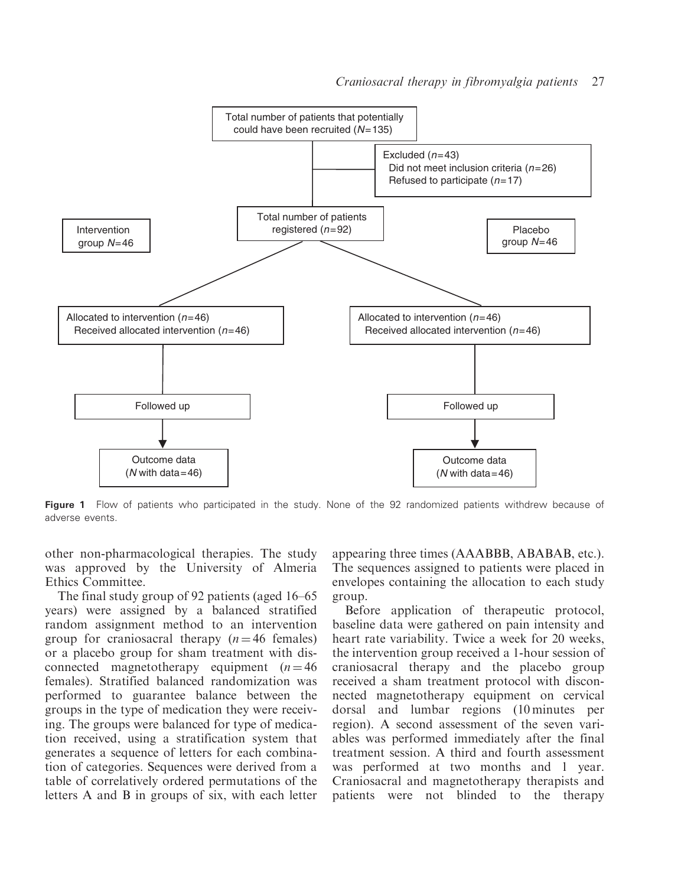

Figure 1 Flow of patients who participated in the study. None of the 92 randomized patients withdrew because of adverse events.

other non-pharmacological therapies. The study was approved by the University of Almeria Ethics Committee.

The final study group of 92 patients (aged 16–65 years) were assigned by a balanced stratified random assignment method to an intervention group for craniosacral therapy  $(n = 46$  females) or a placebo group for sham treatment with disconnected magnetotherapy equipment  $(n = 46)$ females). Stratified balanced randomization was performed to guarantee balance between the groups in the type of medication they were receiving. The groups were balanced for type of medication received, using a stratification system that generates a sequence of letters for each combination of categories. Sequences were derived from a table of correlatively ordered permutations of the letters A and B in groups of six, with each letter appearing three times (AAABBB, ABABAB, etc.). The sequences assigned to patients were placed in envelopes containing the allocation to each study group.

Before application of therapeutic protocol, baseline data were gathered on pain intensity and heart rate variability. Twice a week for 20 weeks, the intervention group received a 1-hour session of craniosacral therapy and the placebo group received a sham treatment protocol with disconnected magnetotherapy equipment on cervical dorsal and lumbar regions (10 minutes per region). A second assessment of the seven variables was performed immediately after the final treatment session. A third and fourth assessment was performed at two months and 1 year. Craniosacral and magnetotherapy therapists and patients were not blinded to the therapy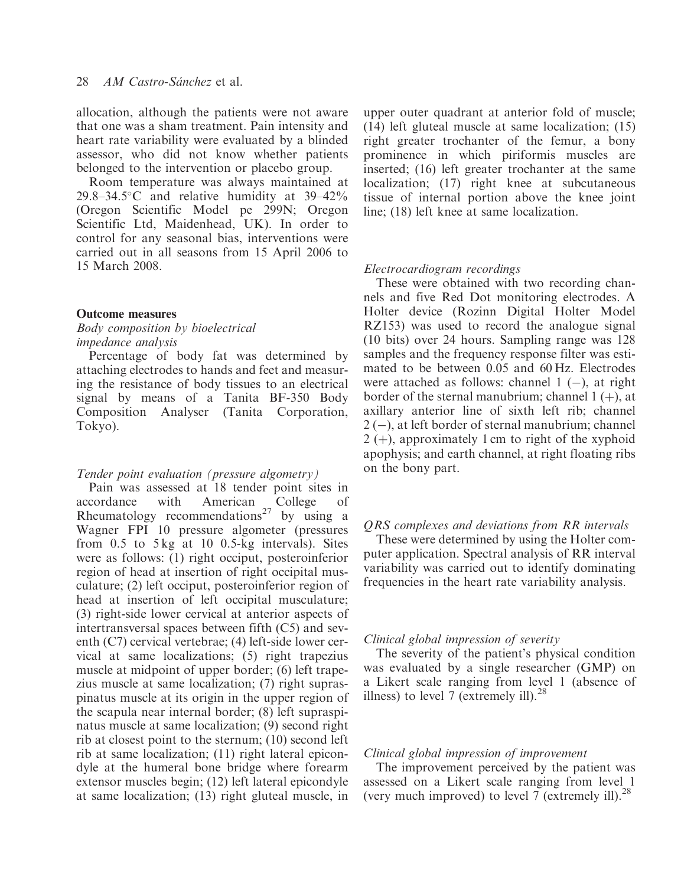allocation, although the patients were not aware that one was a sham treatment. Pain intensity and heart rate variability were evaluated by a blinded assessor, who did not know whether patients belonged to the intervention or placebo group.

Room temperature was always maintained at  $29.8-34.5$ °C and relative humidity at 39-42% (Oregon Scientific Model pe 299N; Oregon Scientific Ltd, Maidenhead, UK). In order to control for any seasonal bias, interventions were carried out in all seasons from 15 April 2006 to 15 March 2008.

## Outcome measures

## Body composition by bioelectrical impedance analysis

Percentage of body fat was determined by attaching electrodes to hands and feet and measuring the resistance of body tissues to an electrical signal by means of a Tanita BF-350 Body Composition Analyser (Tanita Corporation, Tokyo).

#### Tender point evaluation (pressure algometry)

Pain was assessed at 18 tender point sites in accordance with American College of Rheumatology recommendations<sup>27</sup> by using a Wagner FPI 10 pressure algometer (pressures from 0.5 to 5 kg at 10 0.5-kg intervals). Sites were as follows: (1) right occiput, posteroinferior region of head at insertion of right occipital musculature; (2) left occiput, posteroinferior region of head at insertion of left occipital musculature; (3) right-side lower cervical at anterior aspects of intertransversal spaces between fifth (C5) and seventh (C7) cervical vertebrae; (4) left-side lower cervical at same localizations; (5) right trapezius muscle at midpoint of upper border; (6) left trapezius muscle at same localization; (7) right supraspinatus muscle at its origin in the upper region of the scapula near internal border; (8) left supraspinatus muscle at same localization; (9) second right rib at closest point to the sternum; (10) second left rib at same localization; (11) right lateral epicondyle at the humeral bone bridge where forearm extensor muscles begin; (12) left lateral epicondyle at same localization; (13) right gluteal muscle, in upper outer quadrant at anterior fold of muscle; (14) left gluteal muscle at same localization; (15) right greater trochanter of the femur, a bony prominence in which piriformis muscles are inserted; (16) left greater trochanter at the same localization; (17) right knee at subcutaneous tissue of internal portion above the knee joint line; (18) left knee at same localization.

#### Electrocardiogram recordings

These were obtained with two recording channels and five Red Dot monitoring electrodes. A Holter device (Rozinn Digital Holter Model RZ153) was used to record the analogue signal (10 bits) over 24 hours. Sampling range was 128 samples and the frequency response filter was estimated to be between 0.05 and 60 Hz. Electrodes were attached as follows: channel  $1$  (-), at right border of the sternal manubrium; channel  $1 (+)$ , at axillary anterior line of sixth left rib; channel  $2$  (-), at left border of sternal manubrium; channel  $2 (+)$ , approximately 1 cm to right of the xyphoid apophysis; and earth channel, at right floating ribs on the bony part.

## QRS complexes and deviations from RR intervals

These were determined by using the Holter computer application. Spectral analysis of RR interval variability was carried out to identify dominating frequencies in the heart rate variability analysis.

#### Clinical global impression of severity

The severity of the patient's physical condition was evaluated by a single researcher (GMP) on a Likert scale ranging from level 1 (absence of illness) to level 7 (extremely ill). $^{28}$ 

## Clinical global impression of improvement

The improvement perceived by the patient was assessed on a Likert scale ranging from level 1 (very much improved) to level 7 (extremely ill). $^{28}$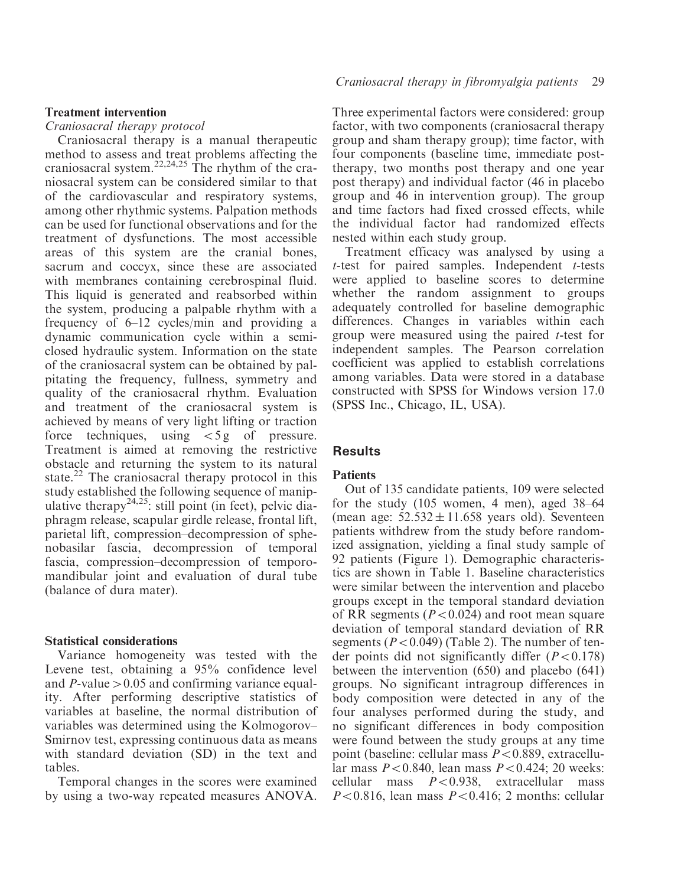## Treatment intervention

Craniosacral therapy protocol

Craniosacral therapy is a manual therapeutic method to assess and treat problems affecting the craniosacral system.<sup>22,24,25</sup> The rhythm of the craniosacral system can be considered similar to that of the cardiovascular and respiratory systems, among other rhythmic systems. Palpation methods can be used for functional observations and for the treatment of dysfunctions. The most accessible areas of this system are the cranial bones, sacrum and coccyx, since these are associated with membranes containing cerebrospinal fluid. This liquid is generated and reabsorbed within the system, producing a palpable rhythm with a frequency of 6–12 cycles/min and providing a dynamic communication cycle within a semiclosed hydraulic system. Information on the state of the craniosacral system can be obtained by palpitating the frequency, fullness, symmetry and quality of the craniosacral rhythm. Evaluation and treatment of the craniosacral system is achieved by means of very light lifting or traction force techniques, using  $\lt 5g$  of pressure. Treatment is aimed at removing the restrictive obstacle and returning the system to its natural state.<sup>22</sup> The craniosacral therapy protocol in this study established the following sequence of manipulative therapy<sup>24,25</sup>: still point (in feet), pelvic diaphragm release, scapular girdle release, frontal lift, parietal lift, compression–decompression of sphenobasilar fascia, decompression of temporal fascia, compression–decompression of temporomandibular joint and evaluation of dural tube (balance of dura mater).

### Statistical considerations

Variance homogeneity was tested with the Levene test, obtaining a 95% confidence level and  $P$ -value  $> 0.05$  and confirming variance equality. After performing descriptive statistics of variables at baseline, the normal distribution of variables was determined using the Kolmogorov– Smirnov test, expressing continuous data as means with standard deviation (SD) in the text and tables.

Temporal changes in the scores were examined by using a two-way repeated measures ANOVA. Three experimental factors were considered: group factor, with two components (craniosacral therapy group and sham therapy group); time factor, with four components (baseline time, immediate posttherapy, two months post therapy and one year post therapy) and individual factor (46 in placebo group and 46 in intervention group). The group and time factors had fixed crossed effects, while the individual factor had randomized effects nested within each study group.

Treatment efficacy was analysed by using a  $t$ -test for paired samples. Independent  $t$ -tests were applied to baseline scores to determine whether the random assignment to groups adequately controlled for baseline demographic differences. Changes in variables within each group were measured using the paired t-test for independent samples. The Pearson correlation coefficient was applied to establish correlations among variables. Data were stored in a database constructed with SPSS for Windows version 17.0 (SPSS Inc., Chicago, IL, USA).

## Results

#### **Patients**

Out of 135 candidate patients, 109 were selected for the study (105 women, 4 men), aged 38–64 (mean age:  $52.532 \pm 11.658$  years old). Seventeen patients withdrew from the study before randomized assignation, yielding a final study sample of 92 patients (Figure 1). Demographic characteristics are shown in Table 1. Baseline characteristics were similar between the intervention and placebo groups except in the temporal standard deviation of RR segments ( $P<0.024$ ) and root mean square deviation of temporal standard deviation of RR segments ( $P<0.049$ ) (Table 2). The number of tender points did not significantly differ  $(P<0.178)$ between the intervention (650) and placebo (641) groups. No significant intragroup differences in body composition were detected in any of the four analyses performed during the study, and no significant differences in body composition were found between the study groups at any time point (baseline: cellular mass  $P < 0.889$ , extracellular mass  $P < 0.840$ , lean mass  $P < 0.424$ : 20 weeks: cellular mass  $P < 0.938$ , extracellular mass  $P<0.816$ , lean mass  $P<0.416$ ; 2 months: cellular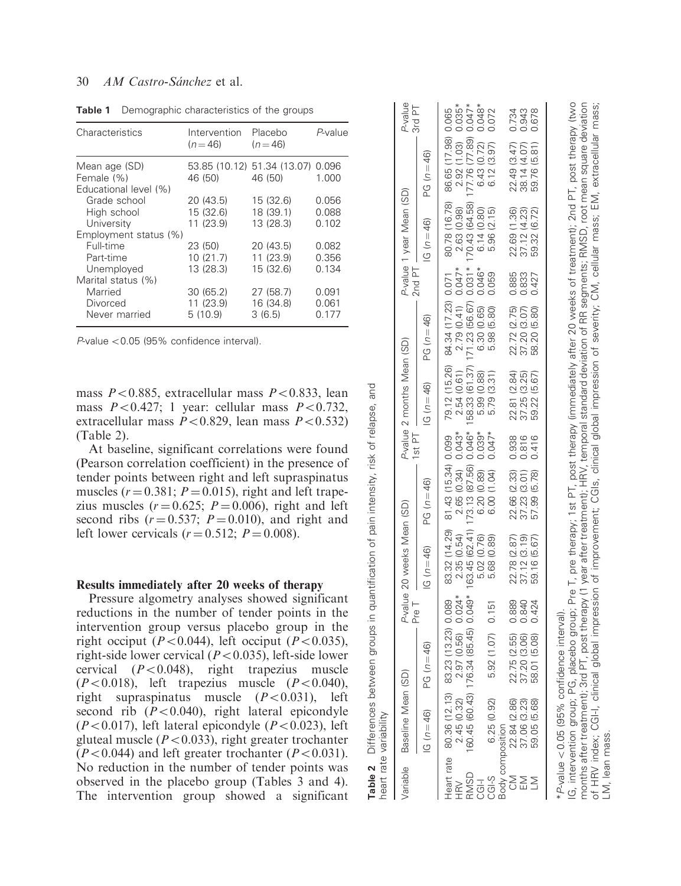## 30 AM Castro-Sánchez et al.

| Characteristics                                               | Intervention<br>$(n=46)$            | Placebo<br>$(n=46)$                    | P-value                 |
|---------------------------------------------------------------|-------------------------------------|----------------------------------------|-------------------------|
| Mean age (SD)<br>Female (%)<br>Educational level (%)          | 46 (50)                             | 53.85 (10.12) 51.34 (13.07)<br>46 (50) | 0.096<br>1.000          |
| Grade school<br>High school<br>University                     | 20 (43.5)<br>15 (32.6)<br>11 (23.9) | 15 (32.6)<br>18 (39.1)<br>13 (28.3)    | 0.056<br>0.088<br>0.102 |
| Employment status (%)<br>Full-time<br>Part-time<br>Unemployed | 23 (50)<br>10(21.7)<br>13 (28.3)    | 20 (43.5)<br>11 (23.9)<br>15 (32.6)    | 0.082<br>0.356<br>0.134 |
| Marital status (%)<br>Married<br>Divorced<br>Never married    | 30(65.2)<br>11 (23.9)<br>5(10.9)    | 27 (58.7)<br>16 (34.8)<br>3(6.5)       | 0.091<br>0.061<br>0.177 |

Table 1 Demographic characteristics of the groups

 $P$ -value < 0.05 (95% confidence interval).

mass  $P < 0.885$ , extracellular mass  $P < 0.833$ , lean mass  $P<0.427$ ; 1 year: cellular mass  $P<0.732$ , extracellular mass  $P < 0.829$ , lean mass  $P < 0.532$ ) (Table 2).

At baseline, significant correlations were found (Pearson correlation coefficient) in the presence of tender points between right and left supraspinatus muscles ( $r = 0.381$ ;  $P = 0.015$ ), right and left trapezius muscles ( $r = 0.625$ ;  $P = 0.006$ ), right and left second ribs  $(r=0.537; P=0.010)$ , and right and left lower cervicals  $(r = 0.512; P = 0.008)$ .

#### Results immediately after 20 weeks of therapy

Pressure algometry analyses showed significant reductions in the number of tender points in the intervention group versus placebo group in the right occiput ( $P<0.044$ ), left occiput ( $P<0.035$ ), right-side lower cervical ( $P<0.035$ ), left-side lower cervical  $(P<0.048)$ , right trapezius muscle  $(P<0.018)$ , left trapezius muscle  $(P<0.040)$ , right supraspinatus muscle  $(P<0.031)$ , left second rib  $(P<0.040)$ , right lateral epicondyle  $(P<0.017)$ , left lateral epicondyle  $(P<0.023)$ , left gluteal muscle  $(P<0.033)$ , right greater trochanter  $(P<0.044)$  and left greater trochanter  $(P<0.031)$ . No reduction in the number of tender points was observed in the placebo group (Tables 3 and 4). The intervention group showed a significant

|              | heart rate variability                                                                                                                                                                                                                                                   |                              |          |                                                                                                                                                                                                                                                            |                     |          |                            |                      |          |                          |                     |                   |
|--------------|--------------------------------------------------------------------------------------------------------------------------------------------------------------------------------------------------------------------------------------------------------------------------|------------------------------|----------|------------------------------------------------------------------------------------------------------------------------------------------------------------------------------------------------------------------------------------------------------------|---------------------|----------|----------------------------|----------------------|----------|--------------------------|---------------------|-------------------|
| Variable     | Baseline Mean (SD)                                                                                                                                                                                                                                                       |                              | Pre T    | P-value 20 weeks Mean (SD)                                                                                                                                                                                                                                 |                     | $1st$ PT | P-value 2 months Mean (SD) |                      | $2nd$ PT | P-value 1 year Mean (SD) |                     | P-value<br>3rd PT |
|              | $IG(n = 46)$                                                                                                                                                                                                                                                             | $(n = 46)$<br>ပ္ပ            |          | $IG(n = 46)$                                                                                                                                                                                                                                               | $PG(n = 46)$        |          | $IG(n = 46)$               | $PG(n = 46)$         |          | $IG(n = 46)$             | $PG(n = 46)$        |                   |
|              | Heart rate 80.36 (12.13) 83.23 (13.23) 0.089                                                                                                                                                                                                                             |                              |          | 83.32 (14.29)                                                                                                                                                                                                                                              | 81.43 (15.34) 0.099 |          | 79.12 (15.26)              | 84.34 (17.23) 0.071  |          | 80.78 (16.78)            | 86.65 (17.98) 0.065 |                   |
| HRV          | 2.45 (0.32)                                                                                                                                                                                                                                                              | .97 (0.56)                   | $0.024*$ | 2.35 (0.54)                                                                                                                                                                                                                                                | 2.65 (0.34)         | $0.043*$ | 2.54(0.61)                 | $2.79(0.41) 0.047*$  |          | 2.63 (0.98)              | 2.92 (1.03)         | $0.035*$          |
| RMSD         | 160.45 (60.43) 176.34 (85.45)                                                                                                                                                                                                                                            |                              | $0.049*$ | 63.45 (62.41                                                                                                                                                                                                                                               | 173.13 (87.56)      | $0.046*$ | 58.33 (61.37)              | 71.23 (56.67) 0.031* |          | 170.43 (64.58)           | 177.76 (77.89)      | $0.047*$          |
| <b>CGI-I</b> |                                                                                                                                                                                                                                                                          |                              |          | 5.02 (0.76)                                                                                                                                                                                                                                                | 6.20 (0.89)         | $0.039*$ | 5.99 (0.88)                | 6.30 (0.65)          | $0.046*$ | 6.14(0.80)               | 6.43(0.72)          | $0.048*$          |
| $CGI-S$      | 6.25 (0.92)                                                                                                                                                                                                                                                              | (1.07)                       | 0.151    | (0.89)<br>5.68                                                                                                                                                                                                                                             | 6.00 (1.04)         | $0.047*$ | 5.79 (3.31)                | 5.98 (5.80)          | 0.059    | 5.96 (2.15)              | 6.12(3.97)          | 0.072             |
|              |                                                                                                                                                                                                                                                                          |                              |          |                                                                                                                                                                                                                                                            |                     |          |                            |                      |          |                          |                     |                   |
|              |                                                                                                                                                                                                                                                                          |                              | 0.889    | 22.78 (2.87)                                                                                                                                                                                                                                               | 22.66 (2.33)        | 0.938    | 22.81 (2.84)               | 22.72 (2.75)         | 0.885    | 22.69 (1.36)             | 22.49 (3.47)        |                   |
|              | Body composition<br>CM 22.84 (2.86)<br>EM 37.06 (3.23)                                                                                                                                                                                                                   | 22.75 (2.55)<br>37.20 (3.06) | 0.840    | 37.12 (3.19)                                                                                                                                                                                                                                               | 37.23 (3.01)        | 0.816    | 37.25 (3.25)               | 37.20 (3.07)         | 0.833    | 37.12 (4.23)             | 38.14 (4.07)        | 0.734<br>0.943    |
|              | 59.05 (5.68)                                                                                                                                                                                                                                                             | 58.01 (5.08)                 | 0.424    | 59.16 (5.67)                                                                                                                                                                                                                                               | 57.99 (5.78)        | 0.416    | 59.22 (5.67)               | 58.20 (5.80)         | 0.427    | 59.32 (6.72)             | 59.76 (5.81)        | 0.678             |
|              | months after treatment); 3rd PT, post therapy (1 year after treatment); HRV, temporal standard deviation of RR segments; RMSD, root mean square deviation<br>*P-value < 0.05 (95% confidence interval)<br>IG, intervention group; PG, p<br>of HRV index; CGI-I, clinical |                              |          | placebo group; Pre T, pre therapy; 1st PT, post therapy (immediately after 20 weeks of treatment); 2nd PT, post therapy (two<br>global impression of improvement; CGIs, clinical global impression of severity; CM, cellular mass; EM, extracellular mass; |                     |          |                            |                      |          |                          |                     |                   |

LM, lean mass.

LM, lean mass

Table 2 Differences between groups in quantification of pain intensity, risk of relapse, and

between groups in quantification of pain

Differences variahility

 $\sim$  $\bullet$ 

Table

and

relapse,

intensity, risk of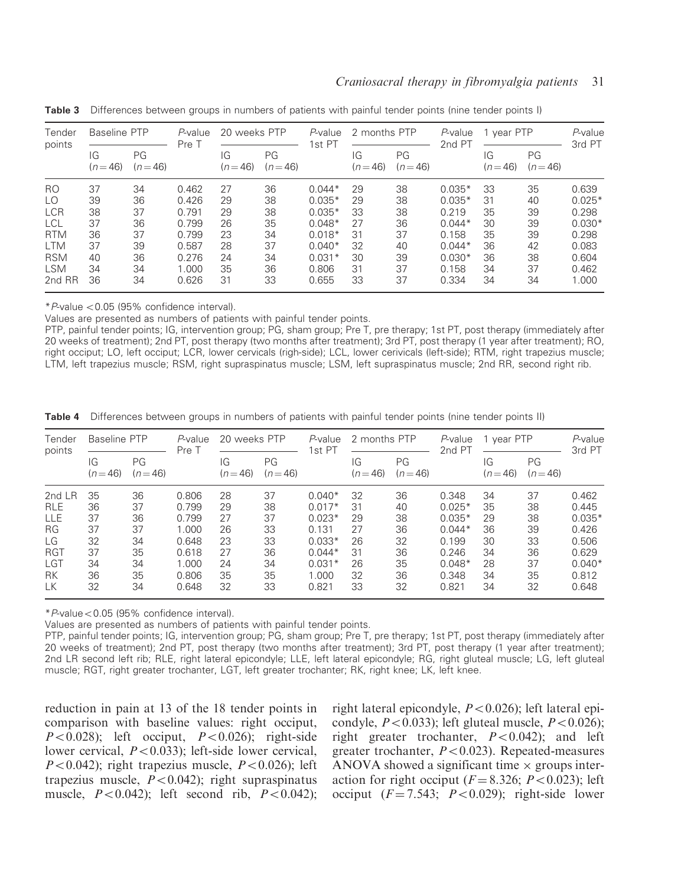| Tender<br>points | Baseline PTP   |                | P-value<br>Pre T | 20 weeks PTP   |                | P-value<br>1st PT | 2 months PTP   |                | P-value<br>2nd PT | 1 year PTP     |                | P-value<br>3rd PT |
|------------------|----------------|----------------|------------------|----------------|----------------|-------------------|----------------|----------------|-------------------|----------------|----------------|-------------------|
|                  | IG<br>$(n=46)$ | PG<br>$(n=46)$ |                  | IG<br>$(n=46)$ | PG<br>$(n=46)$ |                   | IG<br>$(n=46)$ | PG<br>$(n=46)$ |                   | IG<br>$(n=46)$ | PG<br>$(n=46)$ |                   |
| R <sub>O</sub>   | 37             | 34             | 0.462            | 27             | 36             | $0.044*$          | 29             | 38             | $0.035*$          | 33             | 35             | 0.639             |
| LO               | 39             | 36             | 0.426            | 29             | 38             | $0.035*$          | 29             | 38             | $0.035*$          | 31             | 40             | $0.025*$          |
| <b>LCR</b>       | 38             | 37             | 0.791            | 29             | 38             | $0.035*$          | 33             | 38             | 0.219             | 35             | 39             | 0.298             |
| LCL              | 37             | 36             | 0.799            | 26             | 35             | $0.048*$          | 27             | 36             | $0.044*$          | 30             | 39             | $0.030*$          |
| <b>RTM</b>       | 36             | 37             | 0.799            | 23             | 34             | $0.018*$          | 31             | 37             | 0.158             | 35             | 39             | 0.298             |
| LTM              | 37             | 39             | 0.587            | 28             | 37             | $0.040*$          | 32             | 40             | $0.044*$          | 36             | 42             | 0.083             |
| <b>RSM</b>       | 40             | 36             | 0.276            | 24             | 34             | $0.031*$          | 30             | 39             | $0.030*$          | 36             | 38             | 0.604             |
| <b>LSM</b>       | 34             | 34             | 1.000            | 35             | 36             | 0.806             | 31             | 37             | 0.158             | 34             | 37             | 0.462             |
| 2nd RR           | 36             | 34             | 0.626            | 31             | 33             | 0.655             | 33             | 37             | 0.334             | 34             | 34             | 1.000             |

Table 3 Differences between groups in numbers of patients with painful tender points (nine tender points I)

 $*P$ -value < 0.05 (95% confidence interval).

Values are presented as numbers of patients with painful tender points.

PTP, painful tender points; IG, intervention group; PG, sham group; Pre T, pre therapy; 1st PT, post therapy (immediately after 20 weeks of treatment); 2nd PT, post therapy (two months after treatment); 3rd PT, post therapy (1 year after treatment); RO, right occiput; LO, left occiput; LCR, lower cervicals (righ-side); LCL, lower cerivicals (left-side); RTM, right trapezius muscle; LTM, left trapezius muscle; RSM, right supraspinatus muscle; LSM, left supraspinatus muscle; 2nd RR, second right rib.

Table 4 Differences between groups in numbers of patients with painful tender points (nine tender points II)

| Tender<br>points                                                                          | Baseline PTP                                       |                                                    | P-value<br>Pre T                                                              | 20 weeks PTP<br>2 months PTP<br>P-value<br>1st PT  |                                                    |                                                                                                 | P-value<br>2nd PT                                  | 1 year PTP                                         |                                                                                           | $P$ -value<br>3rd PT                               |                                                    |                                                                                     |
|-------------------------------------------------------------------------------------------|----------------------------------------------------|----------------------------------------------------|-------------------------------------------------------------------------------|----------------------------------------------------|----------------------------------------------------|-------------------------------------------------------------------------------------------------|----------------------------------------------------|----------------------------------------------------|-------------------------------------------------------------------------------------------|----------------------------------------------------|----------------------------------------------------|-------------------------------------------------------------------------------------|
|                                                                                           | IG<br>$(n=46)$                                     | PG<br>$(n=46)$                                     |                                                                               | IG<br>$(n=46)$                                     | PG<br>$(n=46)$                                     |                                                                                                 | IG<br>$(n=46)$                                     | PG<br>$(n=46)$                                     |                                                                                           | IG<br>$(n=46)$                                     | PG<br>$(n=46)$                                     |                                                                                     |
| 2 $nd$ LR<br><b>RLE</b><br>LLE<br><b>RG</b><br>LG<br><b>RGT</b><br>LGT<br><b>RK</b><br>LК | 35<br>36<br>37<br>37<br>32<br>37<br>34<br>36<br>32 | 36<br>37<br>36<br>37<br>34<br>35<br>34<br>35<br>34 | 0.806<br>0.799<br>0.799<br>1.000<br>0.648<br>0.618<br>1.000<br>0.806<br>0.648 | 28<br>29<br>27<br>26<br>23<br>27<br>24<br>35<br>32 | 37<br>38<br>37<br>33<br>33<br>36<br>34<br>35<br>33 | $0.040*$<br>$0.017*$<br>$0.023*$<br>0.131<br>$0.033*$<br>$0.044*$<br>$0.031*$<br>1.000<br>0.821 | 32<br>31<br>29<br>27<br>26<br>31<br>26<br>32<br>33 | 36<br>40<br>38<br>36<br>32<br>36<br>35<br>36<br>32 | 0.348<br>$0.025*$<br>$0.035*$<br>$0.044*$<br>0.199<br>0.246<br>$0.048*$<br>0.348<br>0.821 | 34<br>35<br>29<br>36<br>30<br>34<br>28<br>34<br>34 | 37<br>38<br>38<br>39<br>33<br>36<br>37<br>35<br>32 | 0.462<br>0.445<br>$0.035*$<br>0.426<br>0.506<br>0.629<br>$0.040*$<br>0.812<br>0.648 |

 $*P$ -value $< 0.05$  (95% confidence interval).

Values are presented as numbers of patients with painful tender points.

PTP, painful tender points; IG, intervention group; PG, sham group; Pre T, pre therapy; 1st PT, post therapy (immediately after 20 weeks of treatment); 2nd PT, post therapy (two months after treatment); 3rd PT, post therapy (1 year after treatment); 2nd LR second left rib; RLE, right lateral epicondyle; LLE, left lateral epicondyle; RG, right gluteal muscle; LG, left gluteal muscle; RGT, right greater trochanter, LGT, left greater trochanter; RK, right knee; LK, left knee.

reduction in pain at 13 of the 18 tender points in comparison with baseline values: right occiput,  $P<0.028$ ; left occiput,  $P<0.026$ ; right-side lower cervical,  $P < 0.033$ ); left-side lower cervical,  $P<0.042$ ); right trapezius muscle,  $P<0.026$ ); left trapezius muscle,  $P < 0.042$ ); right supraspinatus muscle,  $P<0.042$ ); left second rib,  $P<0.042$ ); right lateral epicondyle,  $P < 0.026$ ); left lateral epicondyle,  $P<0.033$ ); left gluteal muscle,  $P<0.026$ ); right greater trochanter,  $P < 0.042$ ); and left greater trochanter,  $P < 0.023$ ). Repeated-measures ANOVA showed a significant time  $\times$  groups interaction for right occiput  $(F = 8.326; P < 0.023)$ ; left occiput  $(F = 7.543; P < 0.029)$ ; right-side lower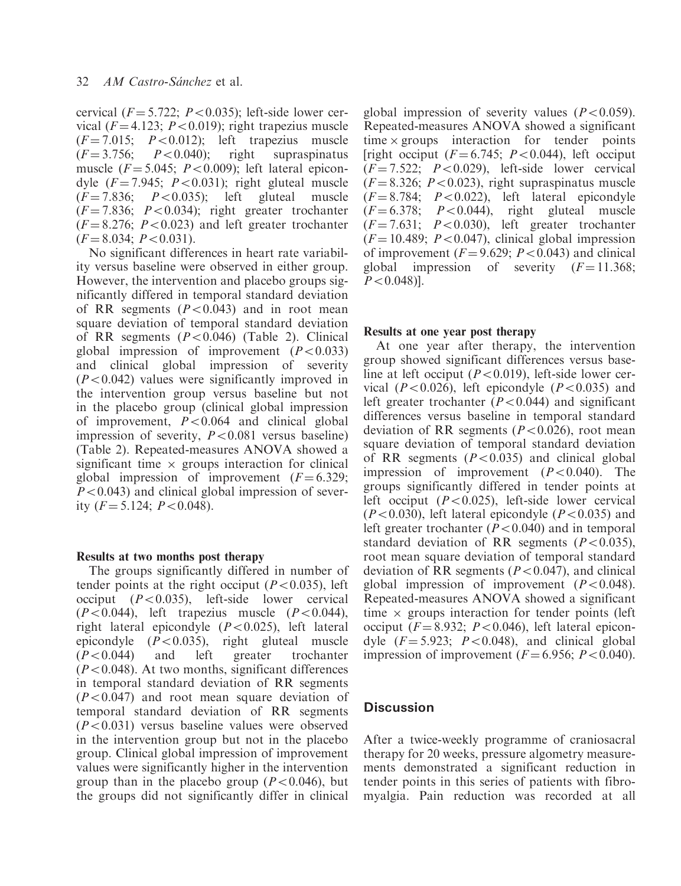cervical  $(F = 5.722; P < 0.035)$ ; left-side lower cervical ( $F = 4.123$ ;  $P < 0.019$ ); right trapezius muscle  $(F=7.015; P<0.012)$ ; left trapezius muscle  $(F=3.756; P<0.040)$ ; right supraspinatus  $P < 0.040$ ; right supraspinatus muscle  $(F = 5.045; P < 0.009)$ ; left lateral epicondyle  $(F = 7.945; P < 0.031)$ ; right gluteal muscle  $(F = 7.836; P < 0.035);$  left gluteal muscle  $(F = 7.836; P < 0.034);$  right greater trochanter  $(F = 8.276; P < 0.023)$  and left greater trochanter  $(F = 8.034; P < 0.031).$ 

No significant differences in heart rate variability versus baseline were observed in either group. However, the intervention and placebo groups significantly differed in temporal standard deviation of RR segments  $(P<0.043)$  and in root mean square deviation of temporal standard deviation of RR segments  $(P<0.046)$  (Table 2). Clinical global impression of improvement  $(P<0.033)$ and clinical global impression of severity  $(P<0.042)$  values were significantly improved in the intervention group versus baseline but not in the placebo group (clinical global impression of improvement,  $P < 0.064$  and clinical global impression of severity,  $P < 0.081$  versus baseline) (Table 2). Repeated-measures ANOVA showed a significant time  $\times$  groups interaction for clinical global impression of improvement  $(F = 6.329)$ ;  $P<0.043$ ) and clinical global impression of severity  $(F = 5.124; P < 0.048)$ .

## Results at two months post therapy

The groups significantly differed in number of tender points at the right occiput ( $P<0.035$ ), left occiput  $(P<0.035)$ , left-side lower cervical  $(P<0.044)$ , left trapezius muscle  $(P<0.044)$ , right lateral epicondyle  $(P<0.025)$ , left lateral epicondyle  $(P<0.035)$ , right gluteal muscle  $(P<0.044)$  and left greater trochanter  $(P<0.048)$ . At two months, significant differences in temporal standard deviation of RR segments  $(P<0.047)$  and root mean square deviation of temporal standard deviation of RR segments  $(P<0.031)$  versus baseline values were observed in the intervention group but not in the placebo group. Clinical global impression of improvement values were significantly higher in the intervention group than in the placebo group ( $P<0.046$ ), but the groups did not significantly differ in clinical

global impression of severity values  $(P<0.059)$ . Repeated-measures ANOVA showed a significant  $time \times groups$  interaction for tender points [right occiput  $(F = 6.745; P < 0.044)$ , left occiput  $(F = 7.522; P < 0.029)$ , left-side lower cervical  $(F = 8.326; P < 0.023)$ , right supraspinatus muscle  $(F = 8.784; P < 0.022)$ , left lateral epicondyle  $(F = 6.378; P < 0.044)$ , right gluteal muscle  $(F = 7.631; P < 0.030)$ , left greater trochanter  $(F = 10.489; P < 0.047)$ , clinical global impression of improvement  $(F=9.629; P<0.043)$  and clinical<br>global impression of severity  $(F=11.368;$ impression of severity  $(F = 11.368)$ :  $P<0.048$ ].

## Results at one year post therapy

At one year after therapy, the intervention group showed significant differences versus baseline at left occiput ( $P<0.019$ ), left-side lower cervical ( $P<0.026$ ), left epicondyle ( $P<0.035$ ) and left greater trochanter  $(P<0.044)$  and significant differences versus baseline in temporal standard deviation of RR segments ( $P < 0.026$ ), root mean square deviation of temporal standard deviation of RR segments  $(P<0.035)$  and clinical global impression of improvement  $(P<0.040)$ . The groups significantly differed in tender points at left occiput  $(P<0.025)$ , left-side lower cervical  $(P<0.030)$ , left lateral epicondyle  $(P<0.035)$  and left greater trochanter  $(P<0.040)$  and in temporal standard deviation of RR segments  $(P<0.035)$ , root mean square deviation of temporal standard deviation of RR segments ( $P < 0.047$ ), and clinical global impression of improvement  $(P<0.048)$ . Repeated-measures ANOVA showed a significant time  $\times$  groups interaction for tender points (left occiput ( $F = 8.932$ ;  $P < 0.046$ ), left lateral epicondyle  $(F = 5.923; P < 0.048)$ , and clinical global impression of improvement  $(F = 6.956; P < 0.040)$ .

## **Discussion**

After a twice-weekly programme of craniosacral therapy for 20 weeks, pressure algometry measurements demonstrated a significant reduction in tender points in this series of patients with fibromyalgia. Pain reduction was recorded at all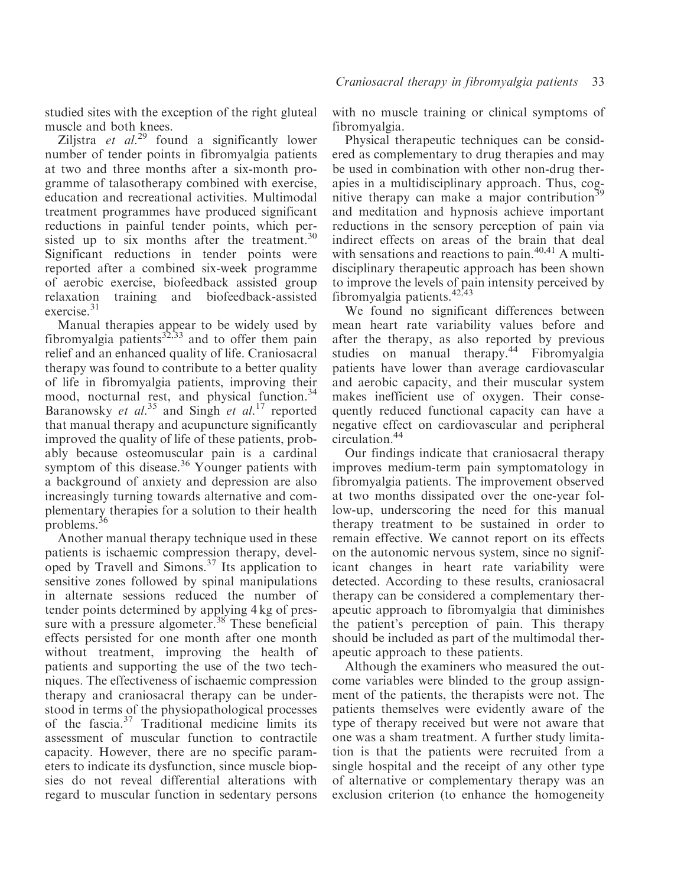studied sites with the exception of the right gluteal muscle and both knees.

Ziljstra et  $al^{29}$  found a significantly lower number of tender points in fibromyalgia patients at two and three months after a six-month programme of talasotherapy combined with exercise, education and recreational activities. Multimodal treatment programmes have produced significant reductions in painful tender points, which persisted up to six months after the treatment. $30$ Significant reductions in tender points were reported after a combined six-week programme of aerobic exercise, biofeedback assisted group relaxation training and biofeedback-assisted exercise.<sup>31</sup>

Manual therapies appear to be widely used by fibromyalgia patients<sup>32,33</sup> and to offer them pain relief and an enhanced quality of life. Craniosacral therapy was found to contribute to a better quality of life in fibromyalgia patients, improving their mood, nocturnal rest, and physical function.<sup>34</sup> Baranowsky et al.<sup>35</sup> and Singh et al.<sup>17</sup> reported that manual therapy and acupuncture significantly improved the quality of life of these patients, probably because osteomuscular pain is a cardinal symptom of this disease.<sup>36</sup> Younger patients with a background of anxiety and depression are also increasingly turning towards alternative and complementary therapies for a solution to their health problems.<sup>36</sup>

Another manual therapy technique used in these patients is ischaemic compression therapy, developed by Travell and Simons.37 Its application to sensitive zones followed by spinal manipulations in alternate sessions reduced the number of tender points determined by applying 4 kg of pressure with a pressure algometer.<sup>38</sup> These beneficial effects persisted for one month after one month without treatment, improving the health of patients and supporting the use of the two techniques. The effectiveness of ischaemic compression therapy and craniosacral therapy can be understood in terms of the physiopathological processes of the fascia.<sup>37</sup> Traditional medicine limits its assessment of muscular function to contractile capacity. However, there are no specific parameters to indicate its dysfunction, since muscle biopsies do not reveal differential alterations with regard to muscular function in sedentary persons

with no muscle training or clinical symptoms of fibromyalgia.

Physical therapeutic techniques can be considered as complementary to drug therapies and may be used in combination with other non-drug therapies in a multidisciplinary approach. Thus, cognitive therapy can make a major contribution<sup>3</sup> and meditation and hypnosis achieve important reductions in the sensory perception of pain via indirect effects on areas of the brain that deal with sensations and reactions to pain. $40,41$  A multidisciplinary therapeutic approach has been shown to improve the levels of pain intensity perceived by fibromyalgia patients.  $42,43$ 

We found no significant differences between mean heart rate variability values before and after the therapy, as also reported by previous studies on manual therapy.<sup>44</sup> Fibromyalgia patients have lower than average cardiovascular and aerobic capacity, and their muscular system makes inefficient use of oxygen. Their consequently reduced functional capacity can have a negative effect on cardiovascular and peripheral circulation.<sup>44</sup>

Our findings indicate that craniosacral therapy improves medium-term pain symptomatology in fibromyalgia patients. The improvement observed at two months dissipated over the one-year follow-up, underscoring the need for this manual therapy treatment to be sustained in order to remain effective. We cannot report on its effects on the autonomic nervous system, since no significant changes in heart rate variability were detected. According to these results, craniosacral therapy can be considered a complementary therapeutic approach to fibromyalgia that diminishes the patient's perception of pain. This therapy should be included as part of the multimodal therapeutic approach to these patients.

Although the examiners who measured the outcome variables were blinded to the group assignment of the patients, the therapists were not. The patients themselves were evidently aware of the type of therapy received but were not aware that one was a sham treatment. A further study limitation is that the patients were recruited from a single hospital and the receipt of any other type of alternative or complementary therapy was an exclusion criterion (to enhance the homogeneity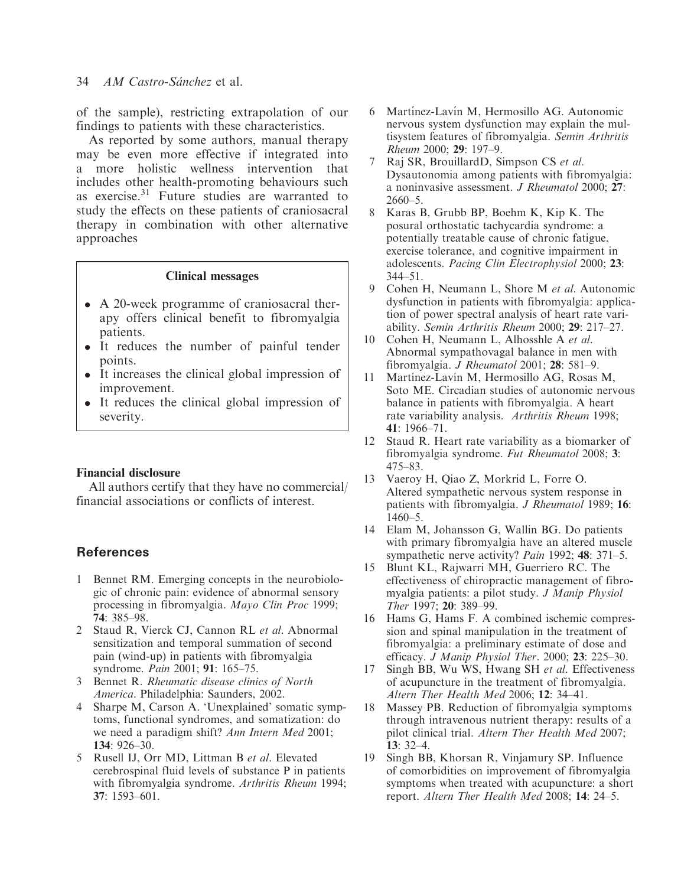## 34 AM Castro-Sánchez et al.

of the sample), restricting extrapolation of our findings to patients with these characteristics.

As reported by some authors, manual therapy may be even more effective if integrated into a more holistic wellness intervention that includes other health-promoting behaviours such as exercise. $31$  Future studies are warranted to study the effects on these patients of craniosacral therapy in combination with other alternative approaches

## Clinical messages

- A 20-week programme of craniosacral therapy offers clinical benefit to fibromyalgia patients.
- It reduces the number of painful tender points.
- It increases the clinical global impression of improvement.
- It reduces the clinical global impression of severity.

## Financial disclosure

All authors certify that they have no commercial/ financial associations or conflicts of interest.

# **References**

- 1 Bennet RM. Emerging concepts in the neurobiologic of chronic pain: evidence of abnormal sensory processing in fibromyalgia. Mayo Clin Proc 1999; 74: 385–98.
- 2 Staud R, Vierck CJ, Cannon RL et al. Abnormal sensitization and temporal summation of second pain (wind-up) in patients with fibromyalgia syndrome. Pain 2001; 91: 165–75.
- 3 Bennet R. Rheumatic disease clinics of North America. Philadelphia: Saunders, 2002.
- 4 Sharpe M, Carson A. 'Unexplained' somatic symptoms, functional syndromes, and somatization: do we need a paradigm shift? Ann Intern Med 2001; 134: 926–30.
- 5 Rusell IJ, Orr MD, Littman B et al. Elevated cerebrospinal fluid levels of substance P in patients with fibromyalgia syndrome. Arthritis Rheum 1994; 37: 1593–601.
- 6 Martínez-Lavín M, Hermosillo AG, Autonomic nervous system dysfunction may explain the multisystem features of fibromyalgia. Semin Arthritis Rheum 2000; 29: 197–9.
- Raj SR, BrouillardD, Simpson CS et al. Dysautonomia among patients with fibromyalgia: a noninvasive assessment. J Rheumatol 2000; 27: 2660–5.
- 8 Karas B, Grubb BP, Boehm K, Kip K. The posural orthostatic tachycardia syndrome: a potentially treatable cause of chronic fatigue, exercise tolerance, and cognitive impairment in adolescents. Pacing Clin Electrophysiol 2000; 23: 344–51.
- 9 Cohen H, Neumann L, Shore M et al. Autonomic dysfunction in patients with fibromyalgia: application of power spectral analysis of heart rate variability. Semin Arthritis Rheum 2000; 29: 217–27.
- 10 Cohen H, Neumann L, Alhosshle A et al. Abnormal sympathovagal balance in men with fibromyalgia. J Rheumatol 2001; 28: 581–9.
- 11 Martínez-Lavín M, Hermosillo AG, Rosas M, Soto ME. Circadian studies of autonomic nervous balance in patients with fibromyalgia. A heart rate variability analysis. Arthritis Rheum 1998; 41: 1966–71.
- 12 Staud R. Heart rate variability as a biomarker of fibromyalgia syndrome. Fut Rheumatol 2008; 3: 475–83.
- 13 Vaeroy H, Qiao Z, Morkrid L, Forre O. Altered sympathetic nervous system response in patients with fibromyalgia. J Rheumatol 1989; 16: 1460–5.
- 14 Elam M, Johansson G, Wallin BG. Do patients with primary fibromyalgia have an altered muscle sympathetic nerve activity? Pain 1992; 48: 371–5.
- 15 Blunt KL, Rajwarri MH, Guerriero RC. The effectiveness of chiropractic management of fibromyalgia patients: a pilot study. J Manip Physiol Ther 1997; 20: 389–99.
- 16 Hams G, Hams F. A combined ischemic compression and spinal manipulation in the treatment of fibromyalgia: a preliminary estimate of dose and efficacy. J Manip Physiol Ther. 2000; 23: 225–30.
- 17 Singh BB, Wu WS, Hwang SH et al. Effectiveness of acupuncture in the treatment of fibromyalgia. Altern Ther Health Med 2006; 12: 34–41.
- 18 Massey PB. Reduction of fibromyalgia symptoms through intravenous nutrient therapy: results of a pilot clinical trial. Altern Ther Health Med 2007; 13: 32–4.
- 19 Singh BB, Khorsan R, Vinjamury SP. Influence of comorbidities on improvement of fibromyalgia symptoms when treated with acupuncture: a short report. Altern Ther Health Med 2008; 14: 24–5.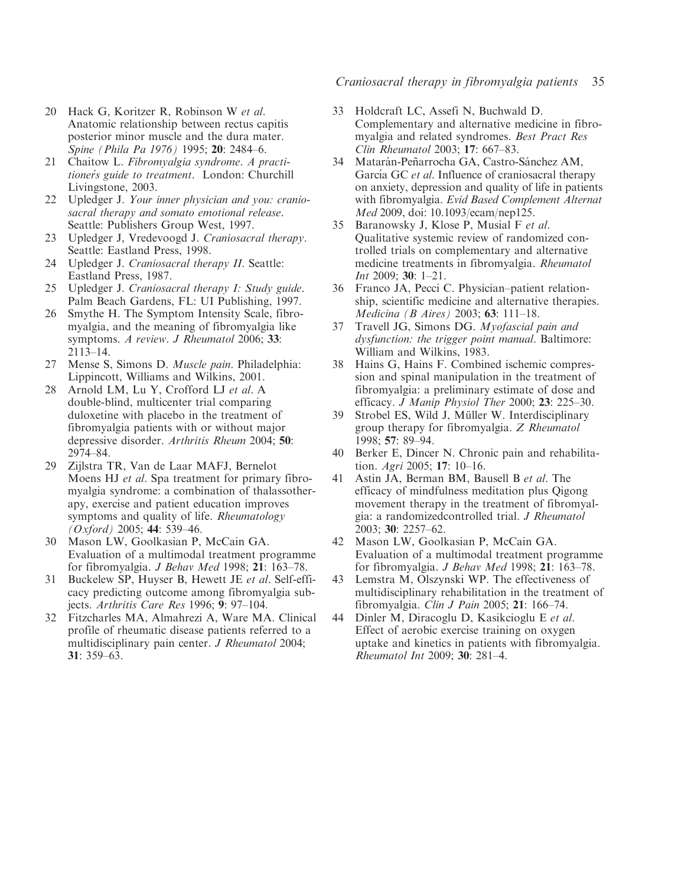- 20 Hack G, Koritzer R, Robinson W et al. Anatomic relationship between rectus capitis posterior minor muscle and the dura mater. Spine (Phila Pa 1976) 1995; 20: 2484–6.
- 21 Chaitow L. Fibromyalgia syndrome. A practitioner´s guide to treatment. London: Churchill Livingstone, 2003.
- 22 Upledger J. Your inner physician and you: craniosacral therapy and somato emotional release. Seattle: Publishers Group West, 1997.
- 23 Upledger J, Vredevoogd J. Craniosacral therapy. Seattle: Eastland Press, 1998.
- 24 Upledger J. Craniosacral therapy II. Seattle: Eastland Press, 1987.
- 25 Upledger J. Craniosacral therapy I: Study guide. Palm Beach Gardens, FL: UI Publishing, 1997.
- 26 Smythe H. The Symptom Intensity Scale, fibromyalgia, and the meaning of fibromyalgia like symptoms. A review. J Rheumatol 2006; 33: 2113–14.
- 27 Mense S, Simons D. Muscle pain. Philadelphia: Lippincott, Williams and Wilkins, 2001.
- 28 Arnold LM, Lu Y, Crofford LJ et al. A double-blind, multicenter trial comparing duloxetine with placebo in the treatment of fibromyalgia patients with or without major depressive disorder. Arthritis Rheum 2004; 50: 2974–84.
- 29 Zijlstra TR, Van de Laar MAFJ, Bernelot Moens HJ et al. Spa treatment for primary fibromyalgia syndrome: a combination of thalassotherapy, exercise and patient education improves symptoms and quality of life. Rheumatology (Oxford) 2005; 44: 539–46.
- 30 Mason LW, Goolkasian P, McCain GA. Evaluation of a multimodal treatment programme for fibromyalgia. J Behav Med 1998; 21: 163–78.
- 31 Buckelew SP, Huyser B, Hewett JE et al. Self-efficacy predicting outcome among fibromyalgia subjects. Arthritis Care Res 1996; 9: 97–104.
- 32 Fitzcharles MA, Almahrezi A, Ware MA. Clinical profile of rheumatic disease patients referred to a multidisciplinary pain center. J Rheumatol 2004; 31: 359–63.

## Craniosacral therapy in fibromyalgia patients 35

- 33 Holdcraft LC, Assefi N, Buchwald D. Complementary and alternative medicine in fibromyalgia and related syndromes. Best Pract Res Clin Rheumatol 2003; 17: 667–83.
- 34 Matarán-Peñarrocha GA, Castro-Sánchez AM, García GC *et al.* Influence of craniosacral therapy on anxiety, depression and quality of life in patients with fibromyalgia. Evid Based Complement Alternat Med 2009, doi: 10.1093/ecam/nep125.
- 35 Baranowsky J, Klose P, Musial F et al. Qualitative systemic review of randomized controlled trials on complementary and alternative medicine treatments in fibromyalgia. Rheumatol Int 2009; 30: 1–21.
- 36 Franco JA, Pecci C. Physician–patient relationship, scientific medicine and alternative therapies. Medicina (B Aires) 2003; 63: 111–18.
- 37 Travell JG, Simons DG. Myofascial pain and dysfunction: the trigger point manual. Baltimore: William and Wilkins, 1983.
- 38 Hains G, Hains F. Combined ischemic compression and spinal manipulation in the treatment of fibromyalgia: a preliminary estimate of dose and efficacy. J Manip Physiol Ther 2000; 23: 225–30.
- 39 Strobel ES, Wild J, Müller W. Interdisciplinary group therapy for fibromyalgia. Z Rheumatol 1998; 57: 89–94.
- 40 Berker E, Dincer N. Chronic pain and rehabilitation. Agri 2005; 17: 10–16.
- 41 Astin JA, Berman BM, Bausell B et al. The efficacy of mindfulness meditation plus Qigong movement therapy in the treatment of fibromyalgia: a randomizedcontrolled trial. J Rheumatol 2003; 30: 2257–62.
- 42 Mason LW, Goolkasian P, McCain GA. Evaluation of a multimodal treatment programme for fibromyalgia. J Behav Med 1998; 21: 163–78.
- 43 Lemstra M, Olszynski WP. The effectiveness of multidisciplinary rehabilitation in the treatment of fibromyalgia. Clin J Pain 2005; 21: 166–74.
- 44 Dinler M, Diracoglu D, Kasikcioglu E et al. Effect of aerobic exercise training on oxygen uptake and kinetics in patients with fibromyalgia. Rheumatol Int 2009; 30: 281–4.